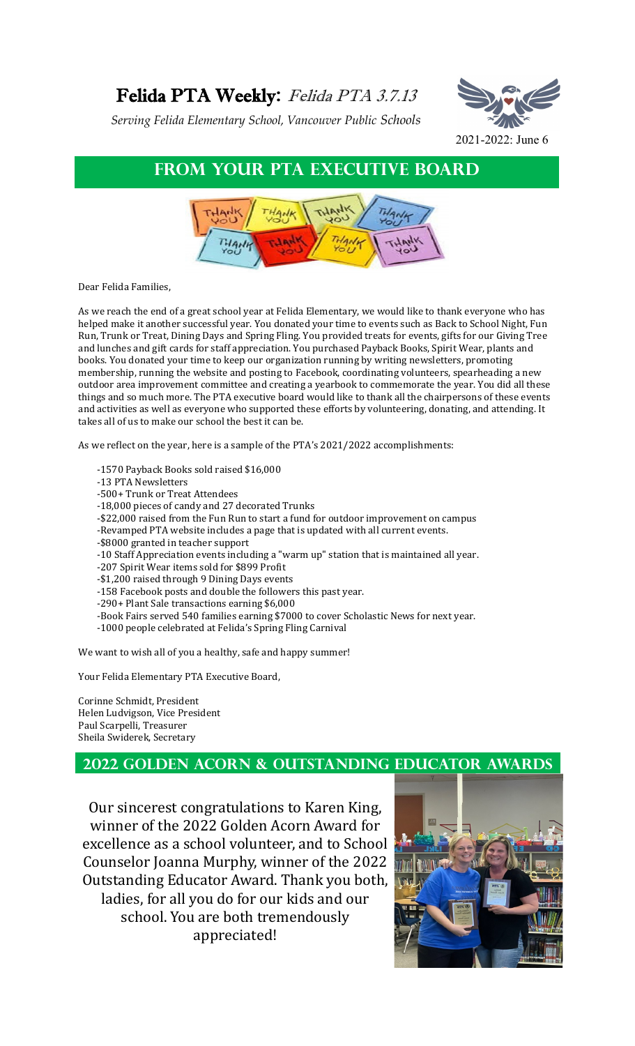# Felida PTA Weekly**:** Felida PTA 3.7.13

*Serving Felida Elementary School, Vancouver Public Schools*



### **From Your PTA executive board**



Dear Felida Families,

As we reach the end of a great school year at Felida Elementary, we would like to thank everyone who has helped make it another successful year. You donated your time to events such as Back to School Night, Fun Run, Trunk or Treat, Dining Days and Spring Fling. You provided treats for events, gifts for our Giving Tree and lunches and gift cards for staff appreciation. You purchased Payback Books, Spirit Wear, plants and books. You donated your time to keep our organization running by writing newsletters, promoting membership, running the website and posting to Facebook, coordinating volunteers, spearheading a new outdoor area improvement committee and creating a yearbook to commemorate the year. You did all these things and so much more. The PTA executive board would like to thank all the chairpersons of these events and activities as well as everyone who supported these efforts by volunteering, donating, and attending. It takes all of us to make our school the best it can be.

As we reflect on the year, here is a sample of the PTA's 2021/2022 accomplishments:

- -1570 Payback Books sold raised \$16,000
- -13 PTA Newsletters
- -500+ Trunk or Treat Attendees
- -18,000 pieces of candy and 27 decorated Trunks
- -\$22,000 raised from the Fun Run to start a fund for outdoor improvement on campus
- -Revamped PTA website includes a page that is updated with all current events.
- -\$8000 granted in teacher support
- -10 Staff Appreciation events including a "warm up" station that is maintained all year.
- -207 Spirit Wear items sold for \$899 Profit
- -\$1,200 raised through 9 Dining Days events
- -158 Facebook posts and double the followers this past year.
- -290+ Plant Sale transactions earning \$6,000
- -Book Fairs served 540 families earning \$7000 to cover Scholastic News for next year.
- -1000 people celebrated at Felida's Spring Fling Carnival

We want to wish all of you a healthy, safe and happy summer!

Your Felida Elementary PTA Executive Board,

Corinne Schmidt, President Helen Ludvigson, Vice President Paul Scarpelli, Treasurer Sheila Swiderek, Secretary

#### **2022 Golden Acorn & outstanding educator awards**

Our sincerest congratulations to Karen King, winner of the 2022 Golden Acorn Award for excellence as a school volunteer, and to School Counselor Joanna Murphy, winner of the 2022 Outstanding Educator Award. Thank you both, ladies, for all you do for our kids and our school. You are both tremendously appreciated!